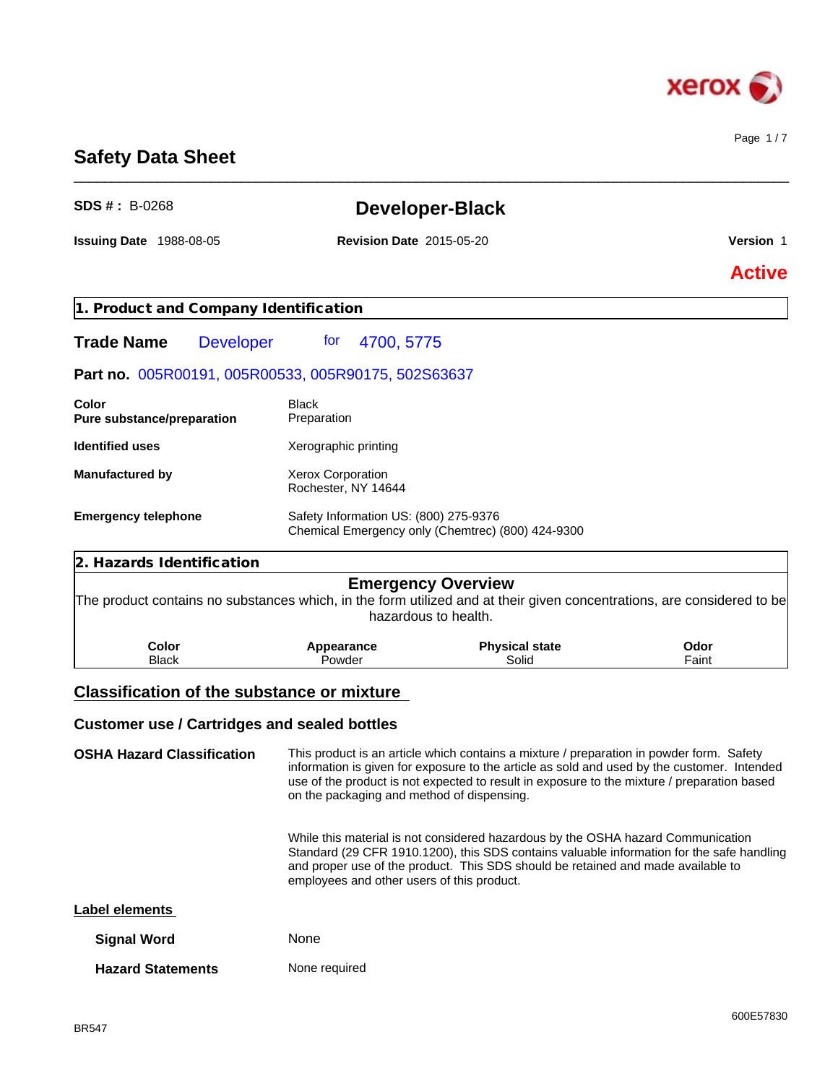

Page 1 / 7

## **Safety Data Sheet**

| $SDS # : B-0268$                                    |                                                 | <b>Developer-Black</b>                                                                                                                                                                                                                                                                 |                  |  |
|-----------------------------------------------------|-------------------------------------------------|----------------------------------------------------------------------------------------------------------------------------------------------------------------------------------------------------------------------------------------------------------------------------------------|------------------|--|
| <b>Issuing Date 1988-08-05</b>                      | <b>Revision Date 2015-05-20</b>                 |                                                                                                                                                                                                                                                                                        | <b>Version 1</b> |  |
|                                                     |                                                 |                                                                                                                                                                                                                                                                                        | <b>Active</b>    |  |
| 1. Product and Company Identification               |                                                 |                                                                                                                                                                                                                                                                                        |                  |  |
| <b>Trade Name</b><br><b>Developer</b>               | for<br>4700, 5775                               |                                                                                                                                                                                                                                                                                        |                  |  |
| Part no. 005R00191, 005R00533, 005R90175, 502S63637 |                                                 |                                                                                                                                                                                                                                                                                        |                  |  |
| Color<br>Pure substance/preparation                 | <b>Black</b><br>Preparation                     |                                                                                                                                                                                                                                                                                        |                  |  |
| <b>Identified uses</b>                              | Xerographic printing                            |                                                                                                                                                                                                                                                                                        |                  |  |
| <b>Manufactured by</b>                              | <b>Xerox Corporation</b><br>Rochester, NY 14644 |                                                                                                                                                                                                                                                                                        |                  |  |
| <b>Emergency telephone</b>                          |                                                 | Safety Information US: (800) 275-9376<br>Chemical Emergency only (Chemtrec) (800) 424-9300                                                                                                                                                                                             |                  |  |
| 2. Hazards Identification                           |                                                 |                                                                                                                                                                                                                                                                                        |                  |  |
|                                                     |                                                 | <b>Emergency Overview</b><br>The product contains no substances which, in the form utilized and at their given concentrations, are considered to be<br>hazardous to health.                                                                                                            |                  |  |
| <b>Color</b><br><b>Black</b>                        | Appearance<br>Powder                            | <b>Physical state</b><br>Solid                                                                                                                                                                                                                                                         | Odor<br>Faint    |  |
| <b>Classification of the substance or mixture</b>   |                                                 |                                                                                                                                                                                                                                                                                        |                  |  |
| <b>Customer use / Cartridges and sealed bottles</b> |                                                 |                                                                                                                                                                                                                                                                                        |                  |  |
| <b>OSHA Hazard Classification</b>                   | on the packaging and method of dispensing.      | This product is an article which contains a mixture / preparation in powder form. Safety<br>information is given for exposure to the article as sold and used by the customer. Intended<br>use of the product is not expected to result in exposure to the mixture / preparation based |                  |  |
|                                                     |                                                 | While this material is not considered hazardous by the OSHA hazard Communication                                                                                                                                                                                                       |                  |  |

\_\_\_\_\_\_\_\_\_\_\_\_\_\_\_\_\_\_\_\_\_\_\_\_\_\_\_\_\_\_\_\_\_\_\_\_\_\_\_\_\_\_\_\_\_\_\_\_\_\_\_\_\_\_\_\_\_\_\_\_\_\_\_\_\_\_\_\_\_\_\_\_\_\_\_\_\_\_\_\_\_\_\_\_\_\_\_\_\_\_\_\_\_\_

Standard (29 CFR 1910.1200), this SDS contains valuable information for the safe handling and proper use of the product. This SDS should be retained and made available to employees and other users of this product.

#### **Label elements**

| <b>Signal Word</b>       | <b>None</b>   |
|--------------------------|---------------|
| <b>Hazard Statements</b> | None required |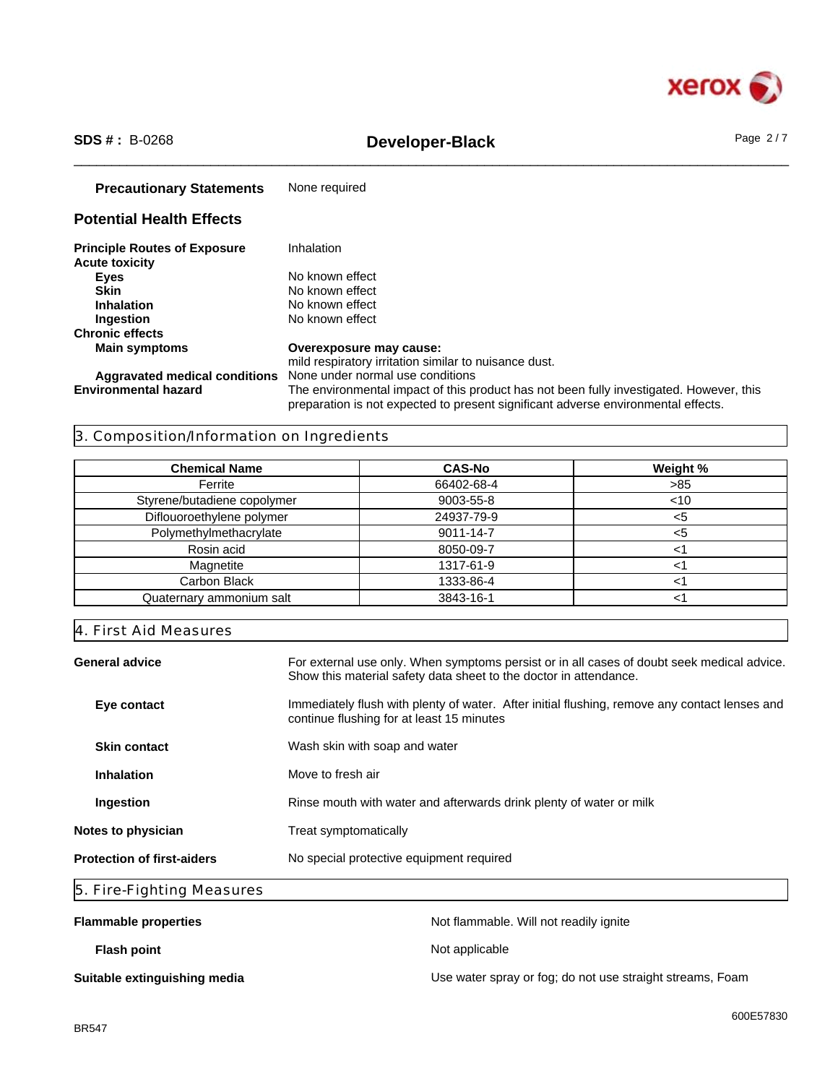

## \_\_\_\_\_\_\_\_\_\_\_\_\_\_\_\_\_\_\_\_\_\_\_\_\_\_\_\_\_\_\_\_\_\_\_\_\_\_\_\_\_\_\_\_\_\_\_\_\_\_\_\_\_\_\_\_\_\_\_\_\_\_\_\_\_\_\_\_\_\_\_\_\_\_\_\_\_\_\_\_\_\_\_\_\_\_\_\_\_\_\_\_\_\_ **SDS # :** B-0268 **Developer-Black** Page 2 / 7

| <b>Precautionary Statements</b>                              | None required                                                                                                                                                                |
|--------------------------------------------------------------|------------------------------------------------------------------------------------------------------------------------------------------------------------------------------|
| <b>Potential Health Effects</b>                              |                                                                                                                                                                              |
| <b>Principle Routes of Exposure</b><br><b>Acute toxicity</b> | Inhalation                                                                                                                                                                   |
| <b>Eyes</b>                                                  | No known effect                                                                                                                                                              |
| Skin                                                         | No known effect                                                                                                                                                              |
| <b>Inhalation</b>                                            | No known effect                                                                                                                                                              |
| Ingestion                                                    | No known effect                                                                                                                                                              |
| <b>Chronic effects</b>                                       |                                                                                                                                                                              |
| <b>Main symptoms</b>                                         | Overexposure may cause:                                                                                                                                                      |
|                                                              | mild respiratory irritation similar to nuisance dust.                                                                                                                        |
| Aggravated medical conditions                                | None under normal use conditions                                                                                                                                             |
| <b>Environmental hazard</b>                                  | The environmental impact of this product has not been fully investigated. However, this<br>preparation is not expected to present significant adverse environmental effects. |

### 3. Composition/Information on Ingredients

| <b>Chemical Name</b>        | <b>CAS-No</b> | Weight % |
|-----------------------------|---------------|----------|
| Ferrite                     | 66402-68-4    | >85      |
| Styrene/butadiene copolymer | 9003-55-8     | $<$ 10   |
| Diflouoroethylene polymer   | 24937-79-9    | <5       |
| Polymethylmethacrylate      | 9011-14-7     | <ຕ       |
| Rosin acid                  | 8050-09-7     |          |
| Magnetite                   | 1317-61-9     |          |
| Carbon Black                | 1333-86-4     |          |
| Quaternary ammonium salt    | 3843-16-1     |          |

### 4. First Aid Measures

| <b>General advice</b><br>For external use only. When symptoms persist or in all cases of doubt seek medical advice.<br>Show this material safety data sheet to the doctor in attendance. |                                                                     |  |
|------------------------------------------------------------------------------------------------------------------------------------------------------------------------------------------|---------------------------------------------------------------------|--|
| Immediately flush with plenty of water. After initial flushing, remove any contact lenses and<br>Eye contact<br>continue flushing for at least 15 minutes                                |                                                                     |  |
| <b>Skin contact</b>                                                                                                                                                                      | Wash skin with soap and water                                       |  |
| <b>Inhalation</b>                                                                                                                                                                        | Move to fresh air                                                   |  |
| Ingestion                                                                                                                                                                                | Rinse mouth with water and afterwards drink plenty of water or milk |  |
| Notes to physician                                                                                                                                                                       | Treat symptomatically                                               |  |
| <b>Protection of first-aiders</b>                                                                                                                                                        | No special protective equipment required                            |  |
| 5. Fire-Fighting Measures                                                                                                                                                                |                                                                     |  |

| <b>Flammable properties</b>  | Not flammable. Will not readily ignite                    |
|------------------------------|-----------------------------------------------------------|
| <b>Flash point</b>           | Not applicable                                            |
| Suitable extinguishing media | Use water spray or fog; do not use straight streams, Foam |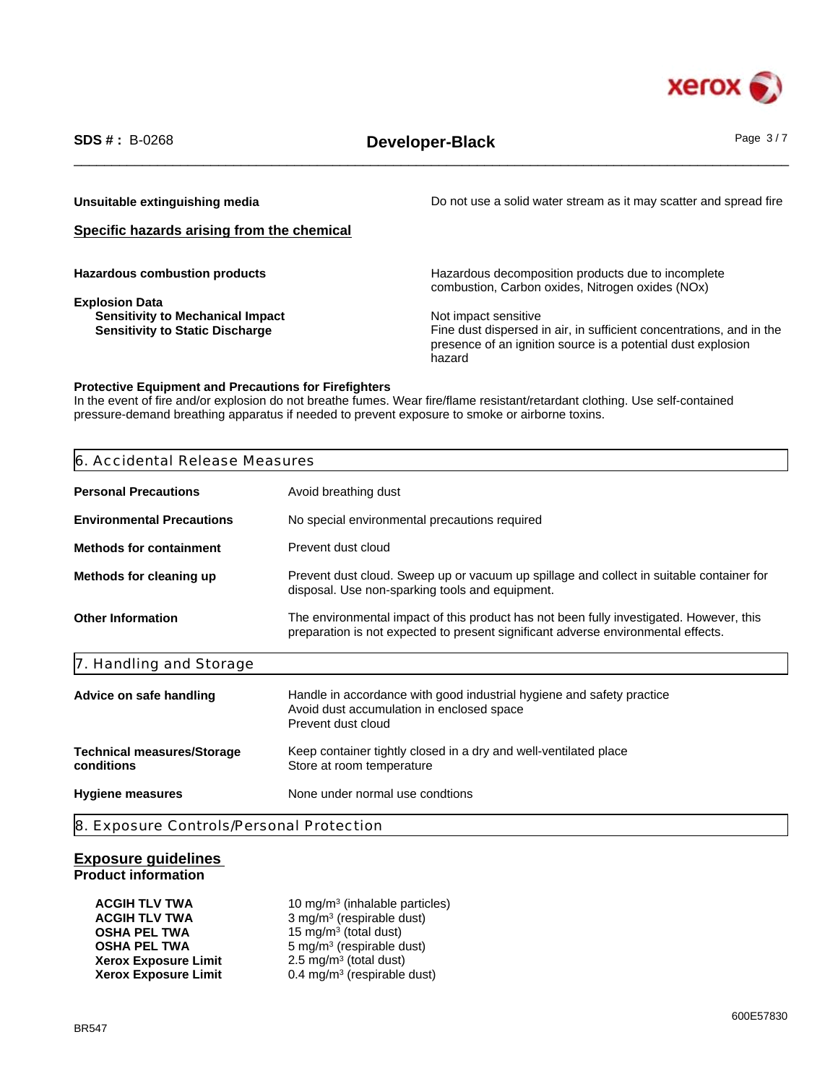

\_\_\_\_\_\_\_\_\_\_\_\_\_\_\_\_\_\_\_\_\_\_\_\_\_\_\_\_\_\_\_\_\_\_\_\_\_\_\_\_\_\_\_\_\_\_\_\_\_\_\_\_\_\_\_\_\_\_\_\_\_\_\_\_\_\_\_\_\_\_\_\_\_\_\_\_\_\_\_\_\_\_\_\_\_\_\_\_\_\_\_\_\_\_ **SDS # :** B-0268 **Developer-Black** Page 3 / 7

**Unsuitable extinguishing media Do not use a solid water stream as it may scatter and spread fire Specific hazards arising from the chemical Hazardous combustion products Hazardous decomposition products due to incomplete** combustion, Carbon oxides, Nitrogen oxides (NOx) **Explosion Data Sensitivity to Mechanical Impact <br>
Sensitivity to Static Discharge Manual Sensitivity to Static Discharge Manual Sensitive Sensitive Control of S** Fine dust dispersed in air, in sufficient concentrations, and in the presence of an ignition source is a potential dust explosion hazard

#### **Protective Equipment and Precautions for Firefighters**

In the event of fire and/or explosion do not breathe fumes. Wear fire/flame resistant/retardant clothing. Use self-contained pressure-demand breathing apparatus if needed to prevent exposure to smoke or airborne toxins.

| 6. Accidental Release Measures                                                                                                                                         |                                                                                                                                                                              |  |  |  |
|------------------------------------------------------------------------------------------------------------------------------------------------------------------------|------------------------------------------------------------------------------------------------------------------------------------------------------------------------------|--|--|--|
| <b>Personal Precautions</b>                                                                                                                                            | Avoid breathing dust                                                                                                                                                         |  |  |  |
| <b>Environmental Precautions</b>                                                                                                                                       | No special environmental precautions required                                                                                                                                |  |  |  |
| <b>Methods for containment</b>                                                                                                                                         | Prevent dust cloud                                                                                                                                                           |  |  |  |
| Prevent dust cloud. Sweep up or vacuum up spillage and collect in suitable container for<br>Methods for cleaning up<br>disposal. Use non-sparking tools and equipment. |                                                                                                                                                                              |  |  |  |
| <b>Other Information</b>                                                                                                                                               | The environmental impact of this product has not been fully investigated. However, this<br>preparation is not expected to present significant adverse environmental effects. |  |  |  |
| 7. Handling and Storage                                                                                                                                                |                                                                                                                                                                              |  |  |  |
| Advice on safe handling                                                                                                                                                | Handle in accordance with good industrial hygiene and safety practice<br>Avoid dust accumulation in enclosed space<br>Prevent dust cloud                                     |  |  |  |
| <b>Technical measures/Storage</b><br>Keep container tightly closed in a dry and well-ventilated place<br>conditions<br>Store at room temperature                       |                                                                                                                                                                              |  |  |  |
| None under normal use condtions<br><b>Hygiene measures</b>                                                                                                             |                                                                                                                                                                              |  |  |  |

#### **Exposure guidelines Product information**

| <b>ACGIH TLV TWA</b>        | 10 mg/m <sup>3</sup> (inhalable particles) |
|-----------------------------|--------------------------------------------|
| <b>ACGIH TLV TWA</b>        | $3$ mg/m <sup>3</sup> (respirable dust)    |
| <b>OSHA PEL TWA</b>         | 15 mg/m <sup>3</sup> (total dust)          |
| <b>OSHA PEL TWA</b>         | 5 mg/m <sup>3</sup> (respirable dust)      |
| <b>Xerox Exposure Limit</b> | $2.5 \text{ mg/m}^3$ (total dust)          |
| <b>Xerox Exposure Limit</b> | $0.4 \text{ mg/m}^3$ (respirable dust)     |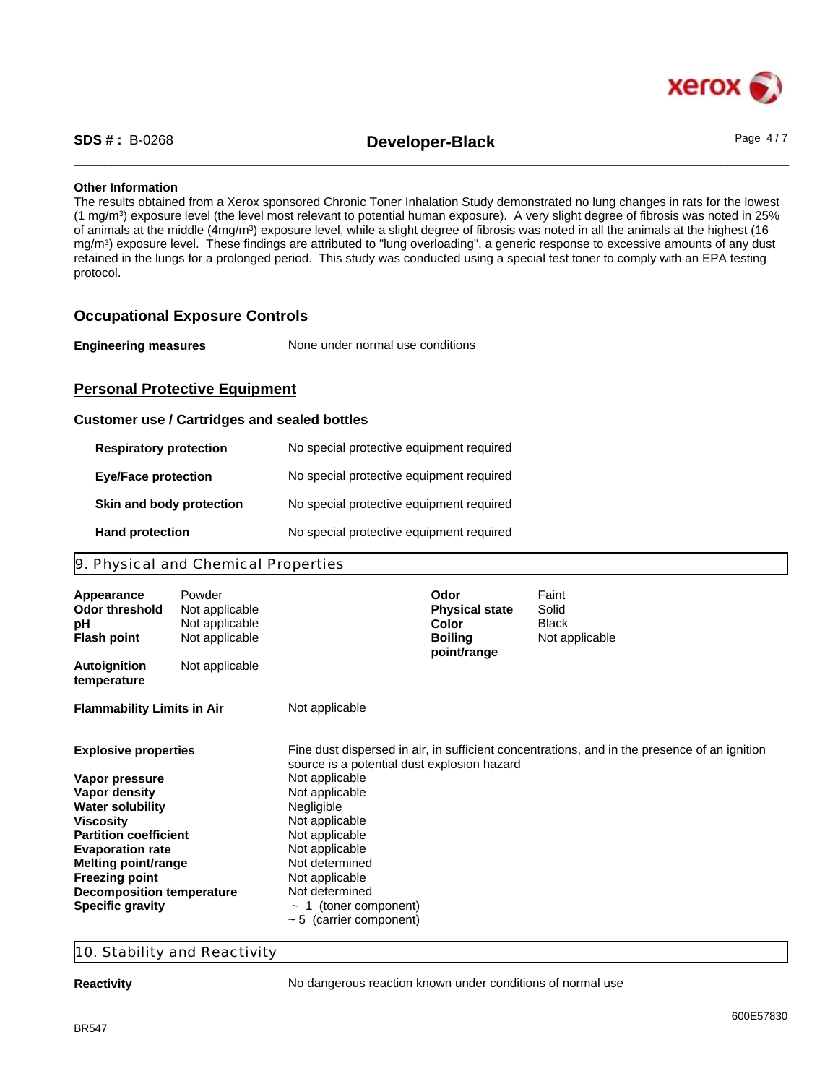

\_\_\_\_\_\_\_\_\_\_\_\_\_\_\_\_\_\_\_\_\_\_\_\_\_\_\_\_\_\_\_\_\_\_\_\_\_\_\_\_\_\_\_\_\_\_\_\_\_\_\_\_\_\_\_\_\_\_\_\_\_\_\_\_\_\_\_\_\_\_\_\_\_\_\_\_\_\_\_\_\_\_\_\_\_\_\_\_\_\_\_\_\_\_ **SDS # :** B-0268 **Developer-Black** Page 4 / 7

#### **Other Information**

The results obtained from a Xerox sponsored Chronic Toner Inhalation Study demonstrated no lung changes in rats for the lowest (1 mg/m<sup>3</sup> ) exposure level (the level most relevant to potential human exposure). A very slight degree of fibrosis was noted in 25% of animals at the middle (4mg/m<sup>3</sup>) exposure level, while a slight degree of fibrosis was noted in all the animals at the highest (16 mg/m<sup>3</sup> ) exposure level. These findings are attributed to "lung overloading", a generic response to excessive amounts of any dust retained in the lungs for a prolonged period. This study was conducted using a special test toner to comply with an EPA testing protocol.

#### **Occupational Exposure Controls**

| <b>Engineering measures</b> | None under normal use conditions |
|-----------------------------|----------------------------------|
|-----------------------------|----------------------------------|

#### **Personal Protective Equipment**

#### **Customer use / Cartridges and sealed bottles**

| <b>Respiratory protection</b> | No special protective equipment required |
|-------------------------------|------------------------------------------|
| <b>Eye/Face protection</b>    | No special protective equipment required |
| Skin and body protection      | No special protective equipment required |
| <b>Hand protection</b>        | No special protective equipment required |

#### 9. Physical and Chemical Properties

| Appearance<br><b>Odor threshold</b><br>рH<br><b>Flash point</b> | Powder<br>Not applicable<br>Not applicable<br>Not applicable |                                             | Odor<br><b>Physical state</b><br><b>Color</b><br><b>Boiling</b><br>point/range | Faint<br>Solid<br><b>Black</b><br>Not applicable                                             |
|-----------------------------------------------------------------|--------------------------------------------------------------|---------------------------------------------|--------------------------------------------------------------------------------|----------------------------------------------------------------------------------------------|
| <b>Autoignition</b><br>temperature                              | Not applicable                                               |                                             |                                                                                |                                                                                              |
| <b>Flammability Limits in Air</b>                               |                                                              | Not applicable                              |                                                                                |                                                                                              |
| <b>Explosive properties</b>                                     |                                                              | source is a potential dust explosion hazard |                                                                                | Fine dust dispersed in air, in sufficient concentrations, and in the presence of an ignition |
| Vapor pressure                                                  |                                                              | Not applicable                              |                                                                                |                                                                                              |
| Vapor density                                                   |                                                              | Not applicable                              |                                                                                |                                                                                              |
| <b>Water solubility</b>                                         |                                                              | Negligible                                  |                                                                                |                                                                                              |
| <b>Viscosity</b>                                                |                                                              | Not applicable                              |                                                                                |                                                                                              |
| <b>Partition coefficient</b>                                    |                                                              | Not applicable                              |                                                                                |                                                                                              |
| <b>Evaporation rate</b><br>Melting point/range                  |                                                              | Not applicable<br>Not determined            |                                                                                |                                                                                              |
| <b>Freezing point</b>                                           |                                                              | Not applicable                              |                                                                                |                                                                                              |
| <b>Decomposition temperature</b>                                |                                                              | Not determined                              |                                                                                |                                                                                              |
| <b>Specific gravity</b>                                         |                                                              | 1 (toner component)                         |                                                                                |                                                                                              |
|                                                                 |                                                              | $\sim$ 5 (carrier component)                |                                                                                |                                                                                              |

#### 10. Stability and Reactivity

**Reactivity Reactivity No dangerous reaction known under conditions of normal use**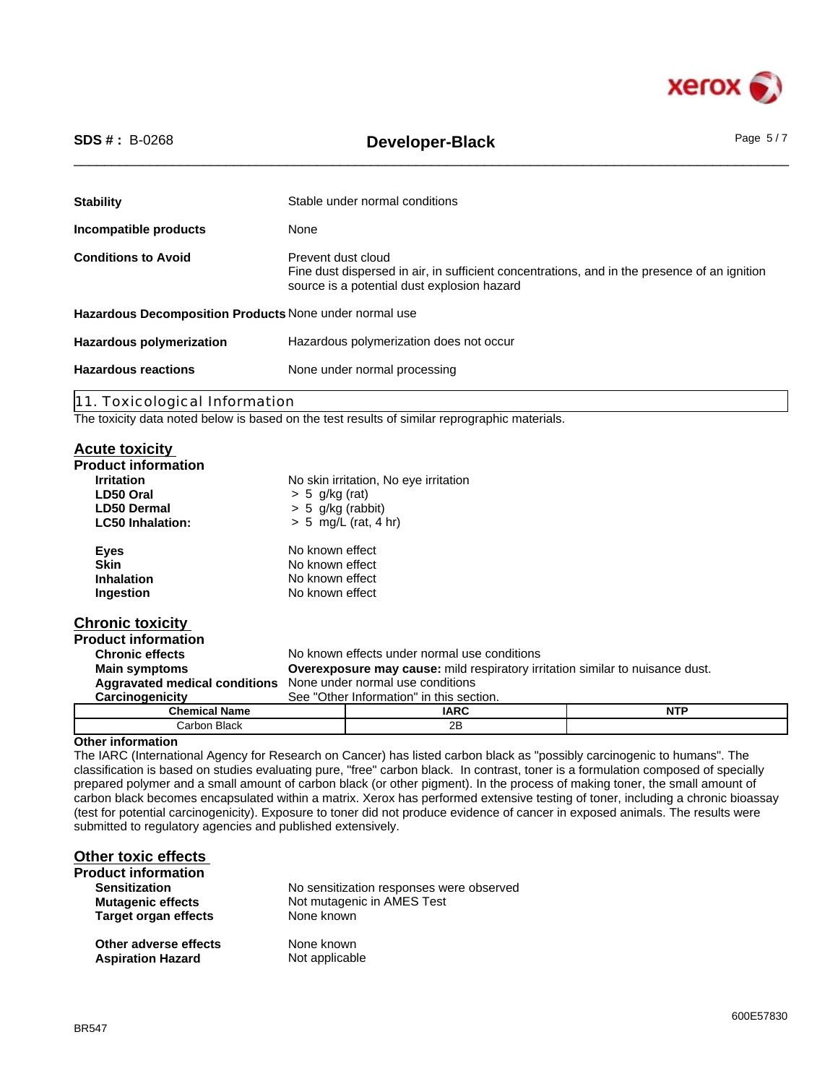

|  | <b>SDS # :</b> B-0268 |
|--|-----------------------|
|--|-----------------------|

# \_\_\_\_\_\_\_\_\_\_\_\_\_\_\_\_\_\_\_\_\_\_\_\_\_\_\_\_\_\_\_\_\_\_\_\_\_\_\_\_\_\_\_\_\_\_\_\_\_\_\_\_\_\_\_\_\_\_\_\_\_\_\_\_\_\_\_\_\_\_\_\_\_\_\_\_\_\_\_\_\_\_\_\_\_\_\_\_\_\_\_\_\_\_ **SDS # :** B-0268 **Developer-Black** Page 5 / 7

| <b>Stability</b>                                       | Stable under normal conditions                                                                                                                                    |  |
|--------------------------------------------------------|-------------------------------------------------------------------------------------------------------------------------------------------------------------------|--|
| Incompatible products                                  | None                                                                                                                                                              |  |
| <b>Conditions to Avoid</b>                             | Prevent dust cloud<br>Fine dust dispersed in air, in sufficient concentrations, and in the presence of an ignition<br>source is a potential dust explosion hazard |  |
| Hazardous Decomposition Products None under normal use |                                                                                                                                                                   |  |
| <b>Hazardous polymerization</b>                        | Hazardous polymerization does not occur                                                                                                                           |  |
| <b>Hazardous reactions</b>                             | None under normal processing                                                                                                                                      |  |
|                                                        |                                                                                                                                                                   |  |

11. Toxicological Information

The toxicity data noted below is based on the test results of similar reprographic materials.

#### **Acute toxicity**

| <b>Product information</b> |                                                                                      |                                              |            |
|----------------------------|--------------------------------------------------------------------------------------|----------------------------------------------|------------|
| <b>Irritation</b>          |                                                                                      | No skin irritation, No eye irritation        |            |
| LD50 Oral                  | $> 5$ g/kg (rat)                                                                     |                                              |            |
| <b>LD50 Dermal</b>         | $> 5$ g/kg (rabbit)                                                                  |                                              |            |
| <b>LC50 Inhalation:</b>    |                                                                                      | $> 5$ mg/L (rat, 4 hr)                       |            |
| <b>Eyes</b>                | No known effect                                                                      |                                              |            |
| <b>Skin</b>                | No known effect                                                                      |                                              |            |
| <b>Inhalation</b>          | No known effect                                                                      |                                              |            |
| Ingestion                  | No known effect                                                                      |                                              |            |
| <b>Chronic toxicity</b>    |                                                                                      |                                              |            |
| <b>Product information</b> |                                                                                      |                                              |            |
| <b>Chronic effects</b>     |                                                                                      | No known effects under normal use conditions |            |
| <b>Main symptoms</b>       | <b>Overexposure may cause:</b> mild respiratory irritation similar to nuisance dust. |                                              |            |
|                            | <b>Aggravated medical conditions</b> None under normal use conditions                |                                              |            |
| Carcinogenicity            |                                                                                      | See "Other Information" in this section.     |            |
| <b>Chemical Name</b>       |                                                                                      | <b>IARC</b>                                  | <b>NTP</b> |
| Carbon Black               |                                                                                      | 2B                                           |            |

#### **Other information**

The IARC (International Agency for Research on Cancer) has listed carbon black as "possibly carcinogenic to humans". The classification is based on studies evaluating pure, "free" carbon black. In contrast, toner is a formulation composed of specially prepared polymer and a small amount of carbon black (or other pigment). In the process of making toner, the small amount of carbon black becomes encapsulated within a matrix. Xerox has performed extensive testing of toner, including a chronic bioassay (test for potential carcinogenicity). Exposure to toner did not produce evidence of cancer in exposed animals. The results were submitted to regulatory agencies and published extensively.

### **Other toxic effects**

| <b>Product information</b>  |                                          |
|-----------------------------|------------------------------------------|
| <b>Sensitization</b>        | No sensitization responses were observed |
| <b>Mutagenic effects</b>    | Not mutagenic in AMES Test               |
| <b>Target organ effects</b> | None known                               |
| Other adverse effects       | None known                               |
| <b>Aspiration Hazard</b>    | Not applicable                           |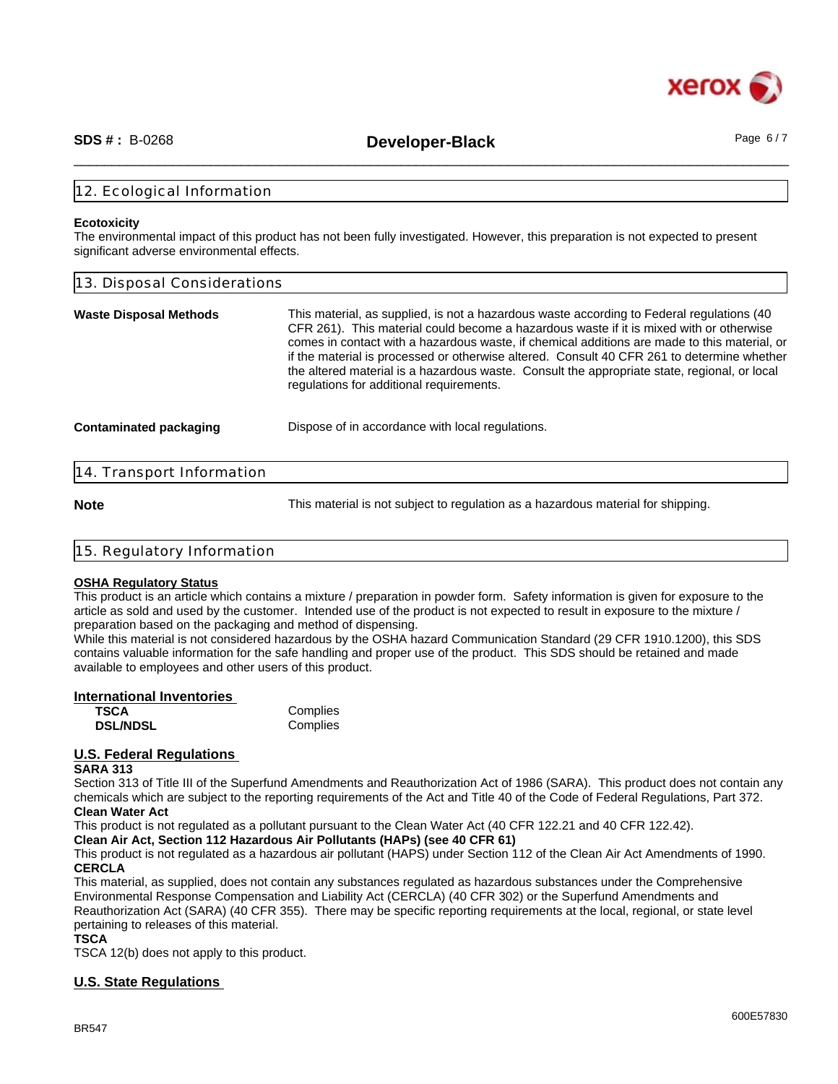

\_\_\_\_\_\_\_\_\_\_\_\_\_\_\_\_\_\_\_\_\_\_\_\_\_\_\_\_\_\_\_\_\_\_\_\_\_\_\_\_\_\_\_\_\_\_\_\_\_\_\_\_\_\_\_\_\_\_\_\_\_\_\_\_\_\_\_\_\_\_\_\_\_\_\_\_\_\_\_\_\_\_\_\_\_\_\_\_\_\_\_\_\_\_ **SDS # :** B-0268 **Developer-Black** Page 6 / 7

#### 12. Ecological Information

#### **Ecotoxicity**

The environmental impact of this product has not been fully investigated. However, this preparation is not expected to present significant adverse environmental effects.

| 13. Disposal Considerations                                                                                                                                                                                                                                                                                                                                                                                                                                                                                                    |  |  |
|--------------------------------------------------------------------------------------------------------------------------------------------------------------------------------------------------------------------------------------------------------------------------------------------------------------------------------------------------------------------------------------------------------------------------------------------------------------------------------------------------------------------------------|--|--|
| This material, as supplied, is not a hazardous waste according to Federal regulations (40<br>CFR 261). This material could become a hazardous waste if it is mixed with or otherwise<br>comes in contact with a hazardous waste, if chemical additions are made to this material, or<br>if the material is processed or otherwise altered. Consult 40 CFR 261 to determine whether<br>the altered material is a hazardous waste. Consult the appropriate state, regional, or local<br>regulations for additional requirements. |  |  |
| Dispose of in accordance with local regulations.                                                                                                                                                                                                                                                                                                                                                                                                                                                                               |  |  |
| 14. Transport Information                                                                                                                                                                                                                                                                                                                                                                                                                                                                                                      |  |  |
|                                                                                                                                                                                                                                                                                                                                                                                                                                                                                                                                |  |  |

**Note** This material is not subject to regulation as a hazardous material for shipping.

| 15. Regulatory Information |  |
|----------------------------|--|
|                            |  |

#### **OSHA Regulatory Status**

This product is an article which contains a mixture / preparation in powder form. Safety information is given for exposure to the article as sold and used by the customer. Intended use of the product is not expected to result in exposure to the mixture / preparation based on the packaging and method of dispensing.

While this material is not considered hazardous by the OSHA hazard Communication Standard (29 CFR 1910.1200), this SDS contains valuable information for the safe handling and proper use of the product. This SDS should be retained and made available to employees and other users of this product.

| International Inventories |          |  |
|---------------------------|----------|--|
| <b>TSCA</b>               | Complies |  |
| <b>DSL/NDSL</b>           | Complies |  |

#### **U.S. Federal Regulations**

#### **SARA 313**

Section 313 of Title III of the Superfund Amendments and Reauthorization Act of 1986 (SARA). This product does not contain any chemicals which are subject to the reporting requirements of the Act and Title 40 of the Code of Federal Regulations, Part 372. **Clean Water Act**

This product is not regulated as a pollutant pursuant to the Clean Water Act (40 CFR 122.21 and 40 CFR 122.42).

**Clean Air Act, Section 112 Hazardous Air Pollutants (HAPs) (see 40 CFR 61)**

This product is not regulated as a hazardous air pollutant (HAPS) under Section 112 of the Clean Air Act Amendments of 1990. **CERCLA**

This material, as supplied, does not contain any substances regulated as hazardous substances under the Comprehensive Environmental Response Compensation and Liability Act (CERCLA) (40 CFR 302) or the Superfund Amendments and Reauthorization Act (SARA) (40 CFR 355). There may be specific reporting requirements at the local, regional, or state level pertaining to releases of this material.

**TSCA**

TSCA 12(b) does not apply to this product.

#### **U.S. State Regulations**